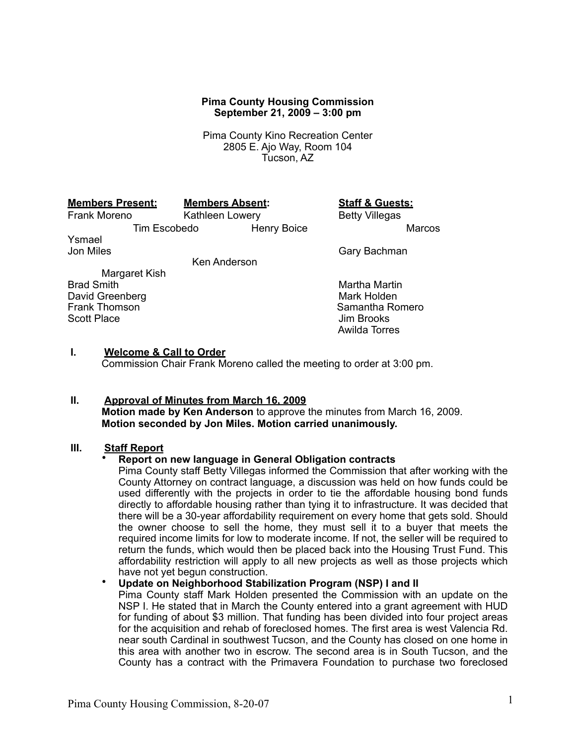#### **Pima County Housing Commission September 21, 2009 – 3:00 pm**

Pima County Kino Recreation Center 2805 E. Ajo Way, Room 104 Tucson, AZ

| <b>Members Present:</b> | <b>Meml</b> |
|-------------------------|-------------|
|                         |             |

### **Members Present: Members Absent: Staff & Guests:**

Frank Moreno Kathleen Lowery Betty Villegas Tim Escobedo Henry Boice Marcos Ysmael Jon Miles **Gary Bachman** 

Ken Anderson

Margaret Kish<br>Brad Smith David Greenberg<br>Frank Thomson Scott Place

Martha Martin<br>Mark Holden Samantha Romero<br>Jim Brooks Awilda Torres

## **I. Welcome & Call to Order**

Commission Chair Frank Moreno called the meeting to order at 3:00 pm.

# **II. Approval of Minutes from March 16, 2009**

**Motion made by Ken Anderson** to approve the minutes from March 16, 2009. **Motion seconded by Jon Miles. Motion carried unanimously.**

# **III. Staff Report**

### • **Report on new language in General Obligation contracts**

Pima County staff Betty Villegas informed the Commission that after working with the County Attorney on contract language, a discussion was held on how funds could be used differently with the projects in order to tie the affordable housing bond funds directly to affordable housing rather than tying it to infrastructure. It was decided that there will be a 30-year affordability requirement on every home that gets sold. Should the owner choose to sell the home, they must sell it to a buyer that meets the required income limits for low to moderate income. If not, the seller will be required to return the funds, which would then be placed back into the Housing Trust Fund. This affordability restriction will apply to all new projects as well as those projects which have not yet begun construction.

• **Update on Neighborhood Stabilization Program (NSP) I and II**

Pima County staff Mark Holden presented the Commission with an update on the NSP I. He stated that in March the County entered into a grant agreement with HUD for funding of about \$3 million. That funding has been divided into four project areas for the acquisition and rehab of foreclosed homes. The first area is west Valencia Rd. near south Cardinal in southwest Tucson, and the County has closed on one home in this area with another two in escrow. The second area is in South Tucson, and the County has a contract with the Primavera Foundation to purchase two foreclosed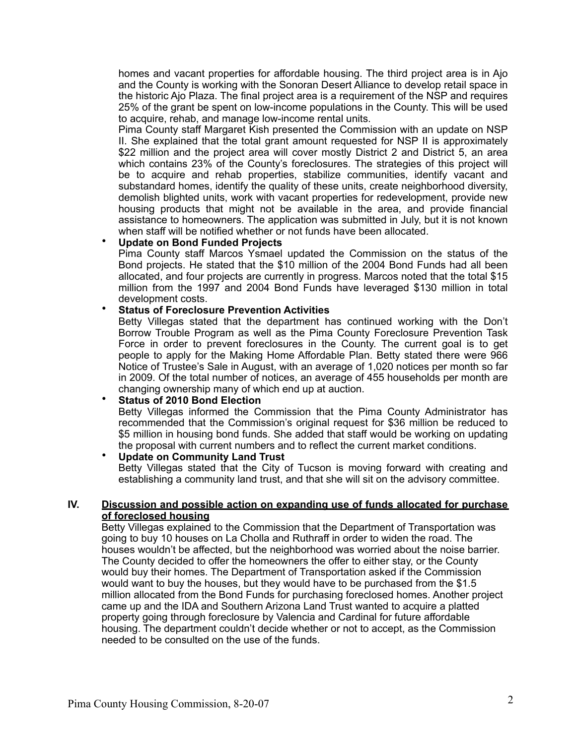homes and vacant properties for affordable housing. The third project area is in Ajo and the County is working with the Sonoran Desert Alliance to develop retail space in the historic Ajo Plaza. The final project area is a requirement of the NSP and requires 25% of the grant be spent on low-income populations in the County. This will be used to acquire, rehab, and manage low-income rental units.

Pima County staff Margaret Kish presented the Commission with an update on NSP II. She explained that the total grant amount requested for NSP II is approximately \$22 million and the project area will cover mostly District 2 and District 5, an area which contains 23% of the County's foreclosures. The strategies of this project will be to acquire and rehab properties, stabilize communities, identify vacant and substandard homes, identify the quality of these units, create neighborhood diversity, demolish blighted units, work with vacant properties for redevelopment, provide new housing products that might not be available in the area, and provide financial assistance to homeowners. The application was submitted in July, but it is not known when staff will be notified whether or not funds have been allocated.

## • **Update on Bond Funded Projects**

Pima County staff Marcos Ysmael updated the Commission on the status of the Bond projects. He stated that the \$10 million of the 2004 Bond Funds had all been allocated, and four projects are currently in progress. Marcos noted that the total \$15 million from the 1997 and 2004 Bond Funds have leveraged \$130 million in total development costs.

## • **Status of Foreclosure Prevention Activities**

Betty Villegas stated that the department has continued working with the Don't Borrow Trouble Program as well as the Pima County Foreclosure Prevention Task Force in order to prevent foreclosures in the County. The current goal is to get people to apply for the Making Home Affordable Plan. Betty stated there were 966 Notice of Trustee's Sale in August, with an average of 1,020 notices per month so far in 2009. Of the total number of notices, an average of 455 households per month are changing ownership many of which end up at auction.

## • **Status of 2010 Bond Election**

Betty Villegas informed the Commission that the Pima County Administrator has recommended that the Commission's original request for \$36 million be reduced to \$5 million in housing bond funds. She added that staff would be working on updating the proposal with current numbers and to reflect the current market conditions.

#### • **Update on Community Land Trust**

Betty Villegas stated that the City of Tucson is moving forward with creating and establishing a community land trust, and that she will sit on the advisory committee.

#### **IV. Discussion and possible action on expanding use of funds allocated for purchase of foreclosed housing**

Betty Villegas explained to the Commission that the Department of Transportation was going to buy 10 houses on La Cholla and Ruthraff in order to widen the road. The houses wouldn't be affected, but the neighborhood was worried about the noise barrier. The County decided to offer the homeowners the offer to either stay, or the County would buy their homes. The Department of Transportation asked if the Commission would want to buy the houses, but they would have to be purchased from the \$1.5 million allocated from the Bond Funds for purchasing foreclosed homes. Another project came up and the IDA and Southern Arizona Land Trust wanted to acquire a platted property going through foreclosure by Valencia and Cardinal for future affordable housing. The department couldn't decide whether or not to accept, as the Commission needed to be consulted on the use of the funds.